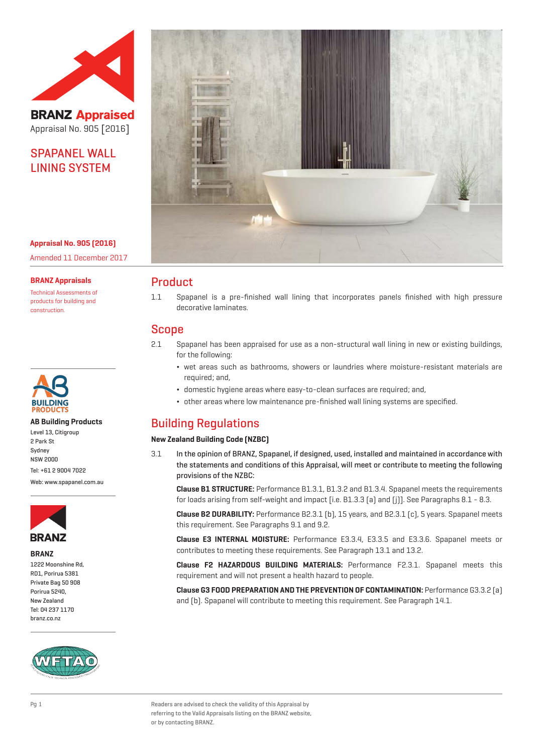

**BRANZ Appraised** Appraisal No. 905 [2016]

# SPAPANEL WALL LINING SYSTEM

**Appraisal No. 905 (2016)** Amended 11 December 2017

**BRANZ Appraisals**

Technical Assessments of products for building and construction.



## **AB Building Products**

Level 13, Citigroup 2 Park St Sydney NSW 2000 Tel: +61 2 9004 7022

Web: www.spapanel.com.au



## **BRANZ**

1222 Moonshine Rd. RD1, Porirua 5381 Private Bag 50 908 Porirua 5240, New Zealand Tel: 04 237 1170 branz.co.nz





## Product

1.1 Spapanel is a pre-finished wall lining that incorporates panels finished with high pressure decorative laminates.

## Scope

- 2.1 Spapanel has been appraised for use as a non-structural wall lining in new or existing buildings, for the following:
	- ¬ wet areas such as bathrooms, showers or laundries where moisture-resistant materials are required; and,
	- ¬ domestic hygiene areas where easy-to-clean surfaces are required; and,
	- ¬ other areas where low maintenance pre-finished wall lining systems are specified.

# Building Regulations

## **New Zealand Building Code (NZBC)**

3.1 In the opinion of BRANZ, Spapanel, if designed, used, installed and maintained in accordance with the statements and conditions of this Appraisal, will meet or contribute to meeting the following provisions of the NZBC:

**Clause B1 STRUCTURE:** Performance B1.3.1, B1.3.2 and B1.3.4. Spapanel meets the requirements for loads arising from self-weight and impact [i.e. B1.3.3 (a) and (j)]. See Paragraphs 8.1 - 8.3.

**Clause B2 DURABILITY:** Performance B2.3.1 (b), 15 years, and B2.3.1 (c), 5 years. Spapanel meets this requirement. See Paragraphs 9.1 and 9.2.

**Clause E3 INTERNAL MOISTURE:** Performance E3.3.4, E3.3.5 and E3.3.6. Spapanel meets or contributes to meeting these requirements. See Paragraph 13.1 and 13.2.

**Clause F2 HAZARDOUS BUILDING MATERIALS:** Performance F2.3.1. Spapanel meets this requirement and will not present a health hazard to people.

**Clause G3 FOOD PREPARATION AND THE PREVENTION OF CONTAMINATION:** Performance G3.3.2 (a) and (b). Spapanel will contribute to meeting this requirement. See Paragraph 14.1.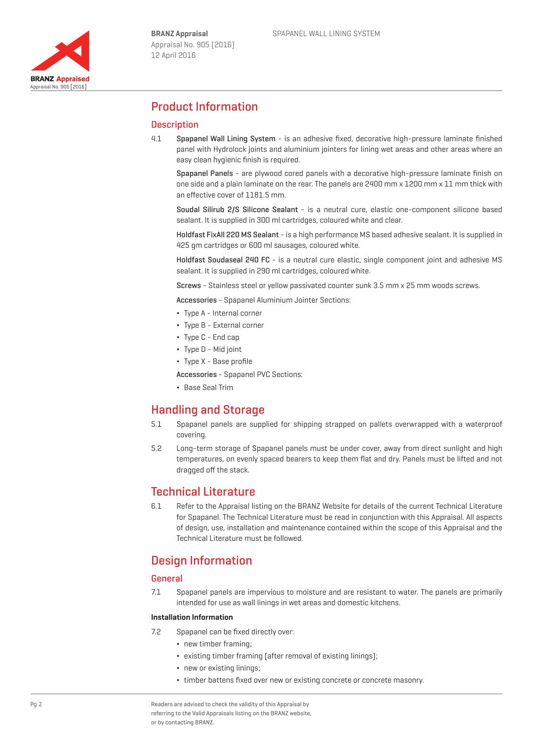

## Product Information

## **Description**

4.1 Spapanel Wall Lining System - is an adhesive fixed, decorative high-pressure laminate finished panel with Hydrolock joints and aluminium jointers for lining wet areas and other areas where an easy clean hygienic finish is required.

Spapanel Panels - are plywood cored panels with a decorative high-pressure laminate finish on one side and a plain laminate on the rear. The panels are 2400 mm x 1200 mm x 11 mm thick with an effective cover of 1181.5 mm.

Soudal Silirub 2/S Silicone Sealant - is a neutral cure, elastic one-component silicone based sealant. It is supplied in 300 ml cartridges, coloured white and clear.

Holdfast FixAll 220 MS Sealant - is a high performance MS based adhesive sealant. It is supplied in 425 gm cartridges or 600 ml sausages, coloured white.

Holdfast Soudaseal 240 FC - is a neutral cure elastic, single component joint and adhesive MS sealant. It is supplied in 290 ml cartridges, coloured white.

Screws - Stainless steel or yellow passivated counter sunk 3.5 mm x 25 mm woods screws.

Accessories - Spapanel Aluminium Jointer Sections:

- ¬ Type A Internal corner
- ¬ Type B External corner
- ¬ Type C End cap
- Type D Mid joint
- ¬ Type X Base profile
- Accessories Spapanel PVC Sections:
- ¬ Base Seal Trim

## Handling and Storage

- 5.1 Spapanel panels are supplied for shipping strapped on pallets overwrapped with a waterproof covering.
- 5.2 Long-term storage of Spapanel panels must be under cover, away from direct sunlight and high temperatures, on evenly spaced bearers to keep them flat and dry. Panels must be lifted and not dragged off the stack.

## Technical Literature

6.1 Refer to the Appraisal listing on the BRANZ Website for details of the current Technical Literature for Spapanel. The Technical Literature must be read in conjunction with this Appraisal. All aspects of design, use, installation and maintenance contained within the scope of this Appraisal and the Technical Literature must be followed.

## Design Information

### General

7.1 Spapanel panels are impervious to moisture and are resistant to water. The panels are primarily intended for use as wall linings in wet areas and domestic kitchens.

#### **Installation Information**

- 7.2 Spapanel can be fixed directly over:
	- new timber framing:
	- existing timber framing (after removal of existing linings);
	- new or existing linings;
	- ¬ timber battens fixed over new or existing concrete or concrete masonry.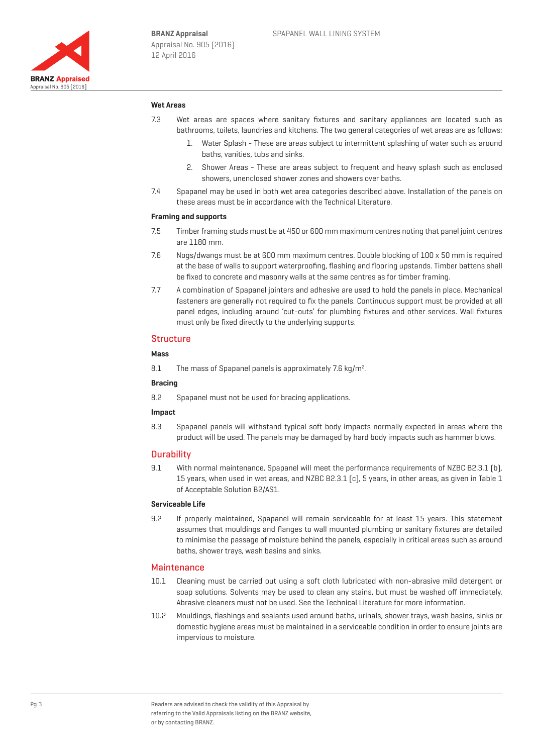

### **Wet Areas**

- 7.3 Wet areas are spaces where sanitary fixtures and sanitary appliances are located such as bathrooms, toilets, laundries and kitchens. The two general categories of wet areas are as follows:
	- 1. Water Splash These are areas subject to intermittent splashing of water such as around baths, vanities, tubs and sinks.
	- 2. Shower Areas These are areas subject to frequent and heavy splash such as enclosed showers, unenclosed shower zones and showers over baths.
- 7.4 Spapanel may be used in both wet area categories described above. Installation of the panels on these areas must be in accordance with the Technical Literature.

### **Framing and supports**

- 7.5 Timber framing studs must be at 450 or 600 mm maximum centres noting that panel joint centres are 1180 mm.
- 7.6 Nogs/dwangs must be at 600 mm maximum centres. Double blocking of 100 x 50 mm is required at the base of walls to support waterproofing, flashing and flooring upstands. Timber battens shall be fixed to concrete and masonry walls at the same centres as for timber framing.
- 7.7 A combination of Spapanel jointers and adhesive are used to hold the panels in place. Mechanical fasteners are generally not required to fix the panels. Continuous support must be provided at all panel edges, including around 'cut-outs' for plumbing fixtures and other services. Wall fixtures must only be fixed directly to the underlying supports.

## **Structure**

#### **Mass**

8.1 The mass of Spapanel panels is approximately 7.6 kg/m<sup>2</sup>.

#### **Bracing**

8.2 Spapanel must not be used for bracing applications.

### **Impact**

8.3 Spapanel panels will withstand typical soft body impacts normally expected in areas where the product will be used. The panels may be damaged by hard body impacts such as hammer blows.

#### **Durability**

9.1 With normal maintenance, Spapanel will meet the performance requirements of NZBC B2.3.1 (b), 15 years, when used in wet areas, and NZBC B2.3.1 (c), 5 years, in other areas, as given in Table 1 of Acceptable Solution B2/AS1.

#### **Serviceable Life**

9.2 If properly maintained, Spapanel will remain serviceable for at least 15 years. This statement assumes that mouldings and flanges to wall mounted plumbing or sanitary fixtures are detailed to minimise the passage of moisture behind the panels, especially in critical areas such as around baths, shower trays, wash basins and sinks.

#### **Maintenance**

- 10.1 Cleaning must be carried out using a soft cloth lubricated with non-abrasive mild detergent or soap solutions. Solvents may be used to clean any stains, but must be washed off immediately. Abrasive cleaners must not be used. See the Technical Literature for more information.
- 10.2 Mouldings, flashings and sealants used around baths, urinals, shower trays, wash basins, sinks or domestic hygiene areas must be maintained in a serviceable condition in order to ensure joints are impervious to moisture.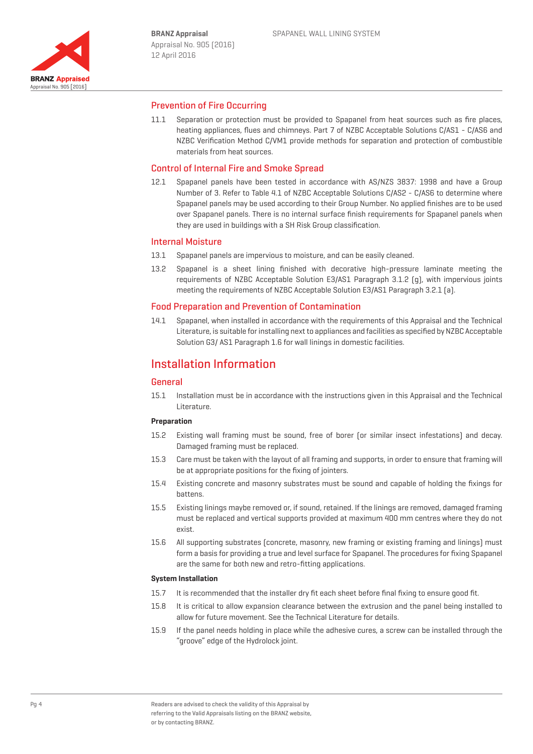

## Prevention of Fire Occurring

11.1 Separation or protection must be provided to Spapanel from heat sources such as fire places, heating appliances, flues and chimneys. Part 7 of NZBC Acceptable Solutions C/AS1 - C/AS6 and NZBC Verification Method C/VM1 provide methods for separation and protection of combustible materials from heat sources.

## Control of Internal Fire and Smoke Spread

12.1 Spapanel panels have been tested in accordance with AS/NZS 3837: 1998 and have a Group Number of 3. Refer to Table 4.1 of NZBC Acceptable Solutions C/AS2 - C/AS6 to determine where Spapanel panels may be used according to their Group Number. No applied finishes are to be used over Spapanel panels. There is no internal surface finish requirements for Spapanel panels when they are used in buildings with a SH Risk Group classification.

### Internal Moisture

- 13.1 Spapanel panels are impervious to moisture, and can be easily cleaned.
- 13.2 Spapanel is a sheet lining finished with decorative high-pressure laminate meeting the requirements of NZBC Acceptable Solution E3/AS1 Paragraph 3.1.2 (g), with impervious joints meeting the requirements of NZBC Acceptable Solution E3/AS1 Paragraph 3.2.1 (a).

## Food Preparation and Prevention of Contamination

14.1 Spapanel, when installed in accordance with the requirements of this Appraisal and the Technical Literature, is suitable for installing next to appliances and facilities as specified by NZBC Acceptable Solution G3/ AS1 Paragraph 1.6 for wall linings in domestic facilities.

## Installation Information

#### **General**

15.1 Installation must be in accordance with the instructions given in this Appraisal and the Technical Literature.

### **Preparation**

- 15.2 Existing wall framing must be sound, free of borer (or similar insect infestations) and decay. Damaged framing must be replaced.
- 15.3 Care must be taken with the layout of all framing and supports, in order to ensure that framing will be at appropriate positions for the fixing of jointers.
- 15.4 Existing concrete and masonry substrates must be sound and capable of holding the fixings for battens.
- 15.5 Existing linings maybe removed or, if sound, retained. If the linings are removed, damaged framing must be replaced and vertical supports provided at maximum 400 mm centres where they do not exist.
- 15.6 All supporting substrates (concrete, masonry, new framing or existing framing and linings) must form a basis for providing a true and level surface for Spapanel. The procedures for fixing Spapanel are the same for both new and retro-fitting applications.

#### **System Installation**

- 15.7 It is recommended that the installer dry fit each sheet before final fixing to ensure good fit.
- 15.8 It is critical to allow expansion clearance between the extrusion and the panel being installed to allow for future movement. See the Technical Literature for details.
- 15.9 If the panel needs holding in place while the adhesive cures, a screw can be installed through the "groove" edge of the Hydrolock joint.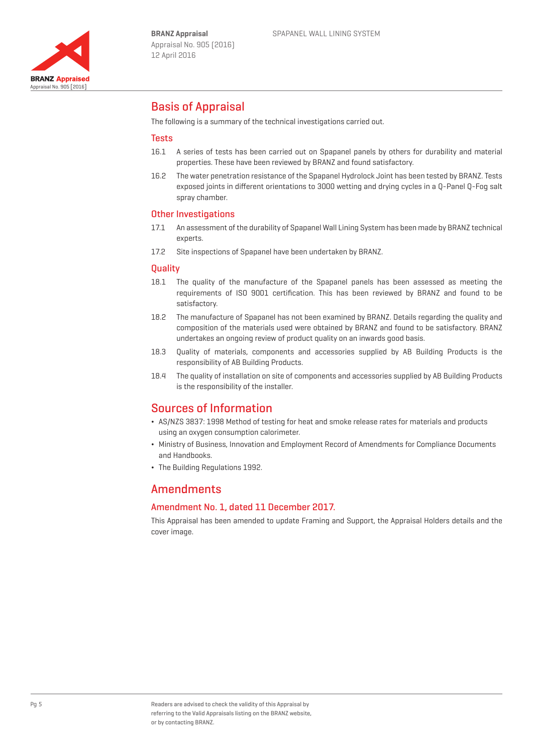

# Basis of Appraisal

The following is a summary of the technical investigations carried out.

### **Tests**

- 16.1 A series of tests has been carried out on Spapanel panels by others for durability and material properties. These have been reviewed by BRANZ and found satisfactory.
- 16.2 The water penetration resistance of the Spapanel Hydrolock Joint has been tested by BRANZ. Tests exposed joints in different orientations to 3000 wetting and drying cycles in a Q-Panel Q-Fog salt spray chamber.

## Other Investigations

- 17.1 An assessment of the durability of Spapanel Wall Lining System has been made by BRANZ technical experts.
- 17.2 Site inspections of Spapanel have been undertaken by BRANZ.

## **Quality**

- 18.1 The quality of the manufacture of the Spapanel panels has been assessed as meeting the requirements of ISO 9001 certification. This has been reviewed by BRANZ and found to be satisfactory.
- 18.2 The manufacture of Spapanel has not been examined by BRANZ. Details regarding the quality and composition of the materials used were obtained by BRANZ and found to be satisfactory. BRANZ undertakes an ongoing review of product quality on an inwards good basis.
- 18.3 Quality of materials, components and accessories supplied by AB Building Products is the responsibility of AB Building Products.
- 18.4 The quality of installation on site of components and accessories supplied by AB Building Products is the responsibility of the installer.

## Sources of Information

- ¬ AS/NZS 3837: 1998 Method of testing for heat and smoke release rates for materials and products using an oxygen consumption calorimeter.
- ¬ Ministry of Business, Innovation and Employment Record of Amendments for Compliance Documents and Handbooks.
- ¬ The Building Regulations 1992.

## Amendments

#### Amendment No. 1, dated 11 December 2017.

This Appraisal has been amended to update Framing and Support, the Appraisal Holders details and the cover image.